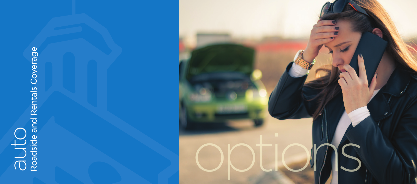# auto<br>Roadside and Rentals Coverage Roadside and Rentals Coverage

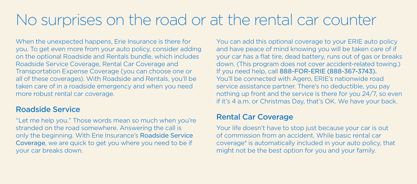## No surprises on the road or at the rental car counter

When the unexpected happens, Erie Insurance is there for you. To get even more from your auto policy, consider adding on the optional Roadside and Rentals bundle, which includes Roadside Service Coverage, Rental Car Coverage and Transportation Expense Coverage (you can choose one or all of these coverages). With Roadside and Rentals, you'll be taken care of in a roadside emergency and when you need more robust rental car coverage.

#### Roadside Service

"Let me help you." Those words mean so much when you're stranded on the road somewhere. Answering the call is only the beginning. With Erie Insurance's Roadside Service Coverage, we are quick to get you where you need to be if your car breaks down.

You can add this optional coverage to your ERIE auto policy and have peace of mind knowing you will be taken care of if your car has a flat tire, dead battery, runs out of gas or breaks down. (This program does not cover accident-related towing.) If you need help, call 888-FOR-ERIE (888-367-3743). You'll be connected with Agero, ERIE's nationwide road service assistance partner. There's no deductible, you pay nothing up front and the service is there for you 24/7, so even if it's 4 a.m. or Christmas Day, that's OK. We have your back.

#### Rental Car Coverage

Your life doesn't have to stop just because your car is out of commission from an accident. While basic rental car coverage\* is automatically included in your auto policy, that might not be the best option for you and your family.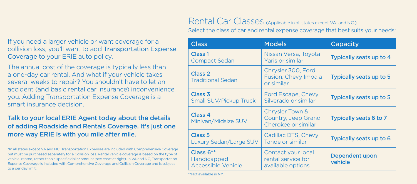#### If you need a larger vehicle or want coverage for a collision loss, you'll want to add Transportation Expense Coverage to your ERIE auto policy.

The annual cost of the coverage is typically less than a one-day car rental. And what if your vehicle takes several weeks to repair? You shouldn't have to let an accident (and basic rental car insurance) inconvenience you. Adding Transportation Expense Coverage is a smart insurance decision.

#### Talk to your local ERIE Agent today about the details of adding Roadside and Rentals Coverage. It's just one more way ERIE is with you mile after mile.

\*In all states except VA and NC, Transportation Expenses are included with Comprehensive Coverage but must be purchased separately for a Collision loss. Rental vehicle coverage is based on the type of vehicle rented, rather than a specific dollar amount (see chart at right). In VA and NC, Transportation Expense Coverage is included with Comprehensive Coverage and Collision Coverage and is subject to a per day limit.

### Rental Car Classes (Applicable in all states except VA and NC.)

Select the class of car and rental expense coverage that best suits your needs:

| <b>Class</b>                                                   | <b>Models</b>                                                  | Capacity                  |
|----------------------------------------------------------------|----------------------------------------------------------------|---------------------------|
| Class <sub>1</sub><br><b>Compact Sedan</b>                     | Nissan Versa, Toyota<br>Yaris or similar                       | Typically seats up to 4   |
| Class <sub>2</sub><br><b>Traditional Sedan</b>                 | Chrysler 300, Ford<br>Fusion, Chevy Impala<br>or similar       | Typically seats up to 5   |
| Class <sub>3</sub><br>Small SUV/Pickup Truck                   | Ford Escape, Chevy<br>Silverado or similar                     | Typically seats up to 5   |
| Class <sub>4</sub><br>Minivan/Midsize SUV                      | Chrysler Town &<br>Country, Jeep Grand<br>Cherokee or similar  | Typically seats 6 to 7    |
| Class <sub>5</sub><br><b>Luxury Sedan/Large SUV</b>            | Cadillac DTS, Chevy<br>Tahoe or similar                        | Typically seats up to 6   |
| Class $6**$<br><b>Handicapped</b><br><b>Accessible Vehicle</b> | Contact your local<br>rental service for<br>available options. | Dependent upon<br>vehicle |

\*\*Not available in NY.